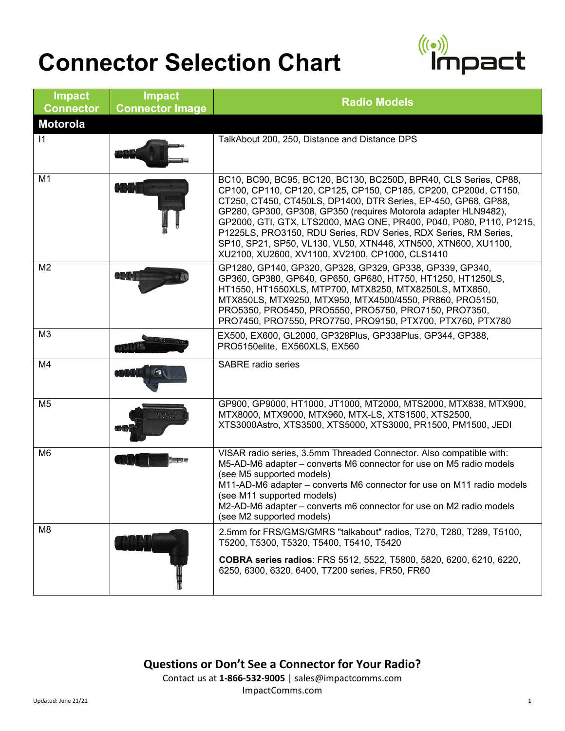

| <b>Impact</b><br><b>Connector</b> | <b>Impact</b><br><b>Connector Image</b> | <b>Radio Models</b>                                                                                                                                                                                                                                                                                                                                                                                                                                                                                                                      |
|-----------------------------------|-----------------------------------------|------------------------------------------------------------------------------------------------------------------------------------------------------------------------------------------------------------------------------------------------------------------------------------------------------------------------------------------------------------------------------------------------------------------------------------------------------------------------------------------------------------------------------------------|
| <b>Motorola</b>                   |                                         |                                                                                                                                                                                                                                                                                                                                                                                                                                                                                                                                          |
| $\mathsf{I}$                      |                                         | TalkAbout 200, 250, Distance and Distance DPS                                                                                                                                                                                                                                                                                                                                                                                                                                                                                            |
| M1                                |                                         | BC10, BC90, BC95, BC120, BC130, BC250D, BPR40, CLS Series, CP88,<br>CP100, CP110, CP120, CP125, CP150, CP185, CP200, CP200d, CT150,<br>CT250, CT450, CT450LS, DP1400, DTR Series, EP-450, GP68, GP88,<br>GP280, GP300, GP308, GP350 (requires Motorola adapter HLN9482),<br>GP2000, GTI, GTX, LTS2000, MAG ONE, PR400, P040, P080, P110, P1215,<br>P1225LS, PRO3150, RDU Series, RDV Series, RDX Series, RM Series,<br>SP10, SP21, SP50, VL130, VL50, XTN446, XTN500, XTN600, XU1100,<br>XU2100, XU2600, XV1100, XV2100, CP1000, CLS1410 |
| M <sub>2</sub>                    |                                         | GP1280, GP140, GP320, GP328, GP329, GP338, GP339, GP340,<br>GP360, GP380, GP640, GP650, GP680, HT750, HT1250, HT1250LS,<br>HT1550, HT1550XLS, MTP700, MTX8250, MTX8250LS, MTX850,<br>MTX850LS, MTX9250, MTX950, MTX4500/4550, PR860, PRO5150,<br>PRO5350, PRO5450, PRO5550, PRO5750, PRO7150, PRO7350,<br>PRO7450, PRO7550, PRO7750, PRO9150, PTX700, PTX760, PTX780                                                                                                                                                                     |
| M <sub>3</sub>                    |                                         | EX500, EX600, GL2000, GP328Plus, GP338Plus, GP344, GP388,<br>PRO5150elite, EX560XLS, EX560                                                                                                                                                                                                                                                                                                                                                                                                                                               |
| M4                                |                                         | <b>SABRE</b> radio series                                                                                                                                                                                                                                                                                                                                                                                                                                                                                                                |
| M <sub>5</sub>                    |                                         | GP900, GP9000, HT1000, JT1000, MT2000, MTS2000, MTX838, MTX900,<br>MTX8000, MTX9000, MTX960, MTX-LS, XTS1500, XTS2500,<br>XTS3000Astro, XTS3500, XTS5000, XTS3000, PR1500, PM1500, JEDI                                                                                                                                                                                                                                                                                                                                                  |
| M6                                |                                         | VISAR radio series, 3.5mm Threaded Connector. Also compatible with:<br>M5-AD-M6 adapter - converts M6 connector for use on M5 radio models<br>(see M5 supported models)<br>M11-AD-M6 adapter - converts M6 connector for use on M11 radio models<br>(see M11 supported models)<br>M2-AD-M6 adapter - converts m6 connector for use on M2 radio models<br>(see M2 supported models)                                                                                                                                                       |
| M <sub>8</sub>                    |                                         | 2.5mm for FRS/GMS/GMRS "talkabout" radios, T270, T280, T289, T5100,<br>T5200, T5300, T5320, T5400, T5410, T5420<br>COBRA series radios: FRS 5512, 5522, T5800, 5820, 6200, 6210, 6220,<br>6250, 6300, 6320, 6400, T7200 series, FR50, FR60                                                                                                                                                                                                                                                                                               |

**Questions or Don't See a Connector for Your Radio?** Contact us at **1-866-532-9005** | sales@impactcomms.com

ImpactComms.com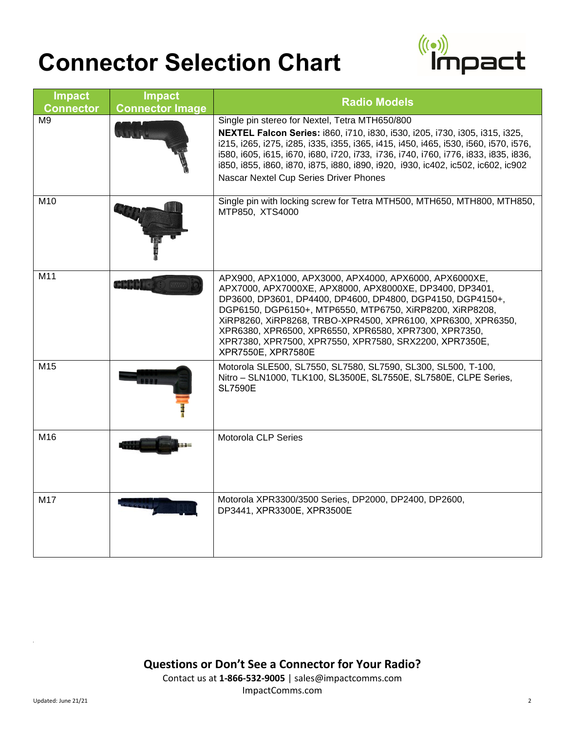

| <b>Impact</b><br><b>Connector</b> | <b>Impact</b><br><b>Connector Image</b> | <b>Radio Models</b>                                                                                                                                                                                                                                                                                                                                                                                                                                  |
|-----------------------------------|-----------------------------------------|------------------------------------------------------------------------------------------------------------------------------------------------------------------------------------------------------------------------------------------------------------------------------------------------------------------------------------------------------------------------------------------------------------------------------------------------------|
| M <sub>9</sub>                    |                                         | Single pin stereo for Nextel, Tetra MTH650/800<br>NEXTEL Falcon Series: i860, i710, i830, i530, i205, i730, i305, i315, i325,<br>i215, i265, i275, i285, i335, i355, i365, i415, i450, i465, i530, i560, i570, i576,<br>i580, i605, i615, i670, i680, i720, i733, i736, i740, i760, i776, i833, i835, i836,<br>i850, i855, i860, i870, i875, i880, i890, i920, i930, ic402, ic502, ic602, ic902<br>Nascar Nextel Cup Series Driver Phones            |
| M10                               |                                         | Single pin with locking screw for Tetra MTH500, MTH650, MTH800, MTH850,<br>MTP850, XTS4000                                                                                                                                                                                                                                                                                                                                                           |
| M11                               | <b>MMMM</b>                             | APX900, APX1000, APX3000, APX4000, APX6000, APX6000XE,<br>APX7000, APX7000XE, APX8000, APX8000XE, DP3400, DP3401,<br>DP3600, DP3601, DP4400, DP4600, DP4800, DGP4150, DGP4150+,<br>DGP6150, DGP6150+, MTP6550, MTP6750, XiRP8200, XiRP8208,<br>XiRP8260, XiRP8268, TRBO-XPR4500, XPR6100, XPR6300, XPR6350,<br>XPR6380, XPR6500, XPR6550, XPR6580, XPR7300, XPR7350,<br>XPR7380, XPR7500, XPR7550, XPR7580, SRX2200, XPR7350E,<br>XPR7550E, XPR7580E |
| M15                               |                                         | Motorola SLE500, SL7550, SL7580, SL7590, SL300, SL500, T-100,<br>Nitro - SLN1000, TLK100, SL3500E, SL7550E, SL7580E, CLPE Series,<br><b>SL7590E</b>                                                                                                                                                                                                                                                                                                  |
| M16                               |                                         | Motorola CLP Series                                                                                                                                                                                                                                                                                                                                                                                                                                  |
| M17                               |                                         | Motorola XPR3300/3500 Series, DP2000, DP2400, DP2600,<br>DP3441, XPR3300E, XPR3500E                                                                                                                                                                                                                                                                                                                                                                  |

**Questions or Don't See a Connector for Your Radio?** Contact us at **1-866-532-9005** | sales@impactcomms.com ImpactComms.com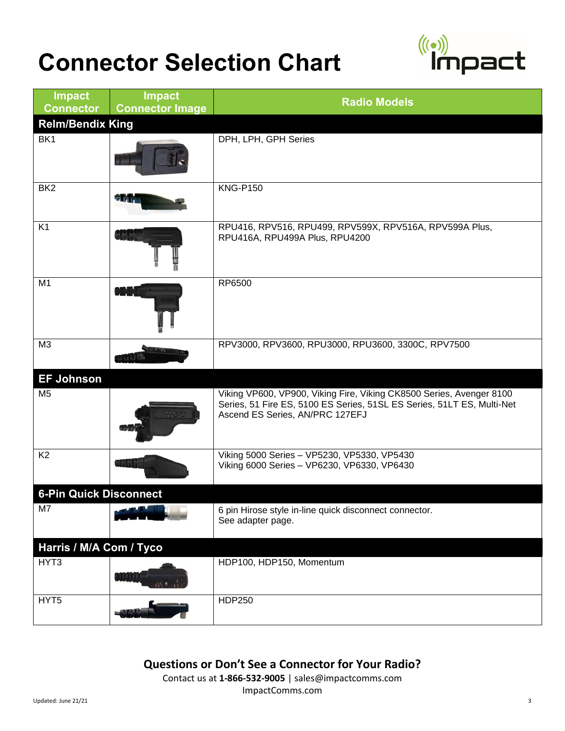

| <b>Impact</b><br><b>Connector</b> | <b>Impact</b><br><b>Connector Image</b> | <b>Radio Models</b>                                                                                                                                                               |
|-----------------------------------|-----------------------------------------|-----------------------------------------------------------------------------------------------------------------------------------------------------------------------------------|
| <b>Relm/Bendix King</b>           |                                         |                                                                                                                                                                                   |
| BK1                               |                                         | DPH, LPH, GPH Series                                                                                                                                                              |
| BK <sub>2</sub>                   |                                         | <b>KNG-P150</b>                                                                                                                                                                   |
| K <sub>1</sub>                    |                                         | RPU416, RPV516, RPU499, RPV599X, RPV516A, RPV599A Plus,<br>RPU416A, RPU499A Plus, RPU4200                                                                                         |
| M <sub>1</sub>                    |                                         | RP6500                                                                                                                                                                            |
| $\overline{\mathsf{M}3}$          |                                         | RPV3000, RPV3600, RPU3000, RPU3600, 3300C, RPV7500                                                                                                                                |
| <b>EF Johnson</b>                 |                                         |                                                                                                                                                                                   |
| M <sub>5</sub>                    |                                         | Viking VP600, VP900, Viking Fire, Viking CK8500 Series, Avenger 8100<br>Series, 51 Fire ES, 5100 ES Series, 51SL ES Series, 51LT ES, Multi-Net<br>Ascend ES Series, AN/PRC 127EFJ |
| K <sub>2</sub>                    |                                         | Viking 5000 Series - VP5230, VP5330, VP5430<br>Viking 6000 Series - VP6230, VP6330, VP6430                                                                                        |
| <b>6-Pin Quick Disconnect</b>     |                                         |                                                                                                                                                                                   |
| M7                                |                                         | 6 pin Hirose style in-line quick disconnect connector.<br>See adapter page.                                                                                                       |
| Harris / M/A Com / Tyco           |                                         |                                                                                                                                                                                   |
| HYT3                              |                                         | HDP100, HDP150, Momentum                                                                                                                                                          |
| HYT5                              |                                         | HDP250                                                                                                                                                                            |

**Questions or Don't See a Connector for Your Radio?**

Contact us at **1-866-532-9005** | sales@impactcomms.com ImpactComms.com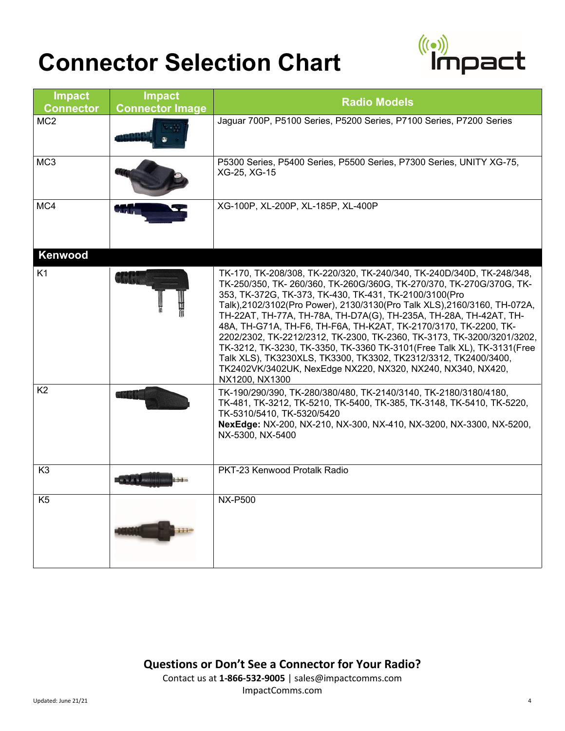

| <b>Impact</b><br><b>Connector</b> | <b>Impact</b><br><b>Connector Image</b> | <b>Radio Models</b>                                                                                                                                                                                                                                                                                                                                                                                                                                                                                                                                                                                                                                                                                                                  |
|-----------------------------------|-----------------------------------------|--------------------------------------------------------------------------------------------------------------------------------------------------------------------------------------------------------------------------------------------------------------------------------------------------------------------------------------------------------------------------------------------------------------------------------------------------------------------------------------------------------------------------------------------------------------------------------------------------------------------------------------------------------------------------------------------------------------------------------------|
| MC <sub>2</sub>                   |                                         | Jaguar 700P, P5100 Series, P5200 Series, P7100 Series, P7200 Series                                                                                                                                                                                                                                                                                                                                                                                                                                                                                                                                                                                                                                                                  |
| MC <sub>3</sub>                   |                                         | P5300 Series, P5400 Series, P5500 Series, P7300 Series, UNITY XG-75,<br>XG-25, XG-15                                                                                                                                                                                                                                                                                                                                                                                                                                                                                                                                                                                                                                                 |
| MC4                               |                                         | XG-100P, XL-200P, XL-185P, XL-400P                                                                                                                                                                                                                                                                                                                                                                                                                                                                                                                                                                                                                                                                                                   |
| Kenwood                           |                                         |                                                                                                                                                                                                                                                                                                                                                                                                                                                                                                                                                                                                                                                                                                                                      |
| K <sub>1</sub>                    |                                         | TK-170, TK-208/308, TK-220/320, TK-240/340, TK-240D/340D, TK-248/348,<br>TK-250/350, TK-260/360, TK-260G/360G, TK-270/370, TK-270G/370G, TK-<br>353, TK-372G, TK-373, TK-430, TK-431, TK-2100/3100(Pro<br>Talk), 2102/3102(Pro Power), 2130/3130(Pro Talk XLS), 2160/3160, TH-072A,<br>TH-22AT, TH-77A, TH-78A, TH-D7A(G), TH-235A, TH-28A, TH-42AT, TH-<br>48A, TH-G71A, TH-F6, TH-F6A, TH-K2AT, TK-2170/3170, TK-2200, TK-<br>2202/2302, TK-2212/2312, TK-2300, TK-2360, TK-3173, TK-3200/3201/3202,<br>TK-3212, TK-3230, TK-3350, TK-3360 TK-3101(Free Talk XL), TK-3131(Free<br>Talk XLS), TK3230XLS, TK3300, TK3302, TK2312/3312, TK2400/3400,<br>TK2402VK/3402UK, NexEdge NX220, NX320, NX240, NX340, NX420,<br>NX1200, NX1300 |
| K <sub>2</sub>                    |                                         | TK-190/290/390, TK-280/380/480, TK-2140/3140, TK-2180/3180/4180,<br>TK-481, TK-3212, TK-5210, TK-5400, TK-385, TK-3148, TK-5410, TK-5220,<br>TK-5310/5410, TK-5320/5420<br>NexEdge: NX-200, NX-210, NX-300, NX-410, NX-3200, NX-3300, NX-5200,<br>NX-5300, NX-5400                                                                                                                                                                                                                                                                                                                                                                                                                                                                   |
| K <sub>3</sub>                    |                                         | PKT-23 Kenwood Protalk Radio                                                                                                                                                                                                                                                                                                                                                                                                                                                                                                                                                                                                                                                                                                         |
| K <sub>5</sub>                    |                                         | <b>NX-P500</b>                                                                                                                                                                                                                                                                                                                                                                                                                                                                                                                                                                                                                                                                                                                       |

**Questions or Don't See a Connector for Your Radio?** Contact us at **1-866-532-9005** | sales@impactcomms.com ImpactComms.com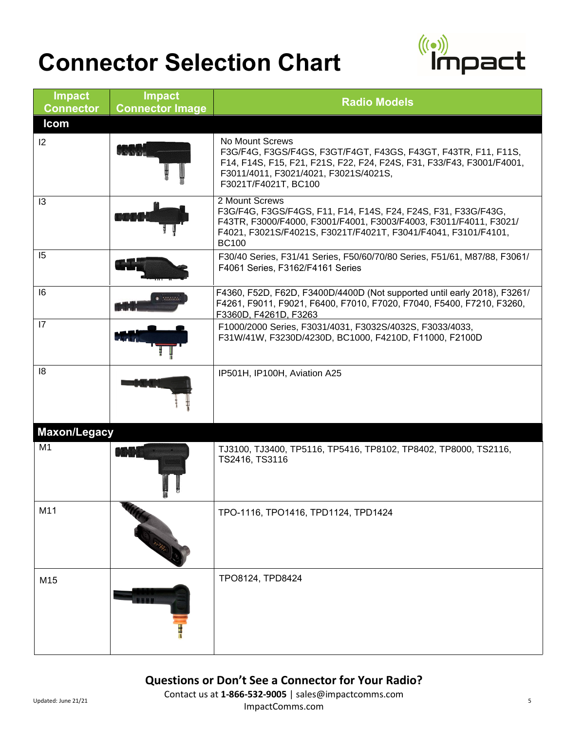

| <b>Impact</b><br><b>Connector</b> | <b>Impact</b><br><b>Connector Image</b> | <b>Radio Models</b>                                                                                                                                                                                                                     |
|-----------------------------------|-----------------------------------------|-----------------------------------------------------------------------------------------------------------------------------------------------------------------------------------------------------------------------------------------|
| <b>Icom</b>                       |                                         |                                                                                                                                                                                                                                         |
| 2                                 |                                         | No Mount Screws<br>F3G/F4G, F3GS/F4GS, F3GT/F4GT, F43GS, F43GT, F43TR, F11, F11S,<br>F14, F14S, F15, F21, F21S, F22, F24, F24S, F31, F33/F43, F3001/F4001,<br>F3011/4011, F3021/4021, F3021S/4021S,<br>F3021T/F4021T, BC100             |
| 13                                |                                         | 2 Mount Screws<br>F3G/F4G, F3GS/F4GS, F11, F14, F14S, F24, F24S, F31, F33G/F43G,<br>F43TR, F3000/F4000, F3001/F4001, F3003/F4003, F3011/F4011, F3021/<br>F4021, F3021S/F4021S, F3021T/F4021T, F3041/F4041, F3101/F4101,<br><b>BC100</b> |
| 15                                |                                         | F30/40 Series, F31/41 Series, F50/60/70/80 Series, F51/61, M87/88, F3061/<br>F4061 Series, F3162/F4161 Series                                                                                                                           |
| 16                                |                                         | F4360, F52D, F62D, F3400D/4400D (Not supported until early 2018), F3261/<br>F4261, F9011, F9021, F6400, F7010, F7020, F7040, F5400, F7210, F3260,<br>F3360D, F4261D, F3263                                                              |
| $\overline{17}$                   |                                         | F1000/2000 Series, F3031/4031, F3032S/4032S, F3033/4033,<br>F31W/41W, F3230D/4230D, BC1000, F4210D, F11000, F2100D                                                                                                                      |
| 8                                 |                                         | IP501H, IP100H, Aviation A25                                                                                                                                                                                                            |
| <b>Maxon/Legacy</b>               |                                         |                                                                                                                                                                                                                                         |
| M <sub>1</sub>                    |                                         | TJ3100, TJ3400, TP5116, TP5416, TP8102, TP8402, TP8000, TS2116,<br>TS2416, TS3116                                                                                                                                                       |
| M11                               |                                         | TPO-1116, TPO1416, TPD1124, TPD1424                                                                                                                                                                                                     |
| M15                               |                                         | TPO8124, TPD8424                                                                                                                                                                                                                        |

#### **Questions or Don't See a Connector for Your Radio?**

Updated: June 21/21 **120 Contact us at 1-866-532-9005** | sales@impactcomms.com ImpactComms.com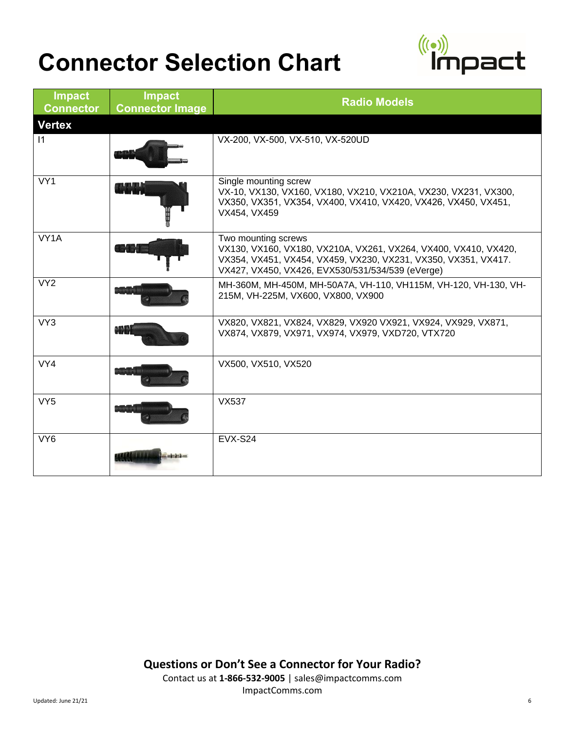

| <b>Impact</b><br><b>Connector</b> | <b>Impact</b><br><b>Connector Image</b> | <b>Radio Models</b>                                                                                                                                                                                          |
|-----------------------------------|-----------------------------------------|--------------------------------------------------------------------------------------------------------------------------------------------------------------------------------------------------------------|
| <b>Vertex</b>                     |                                         |                                                                                                                                                                                                              |
| $\vert$ 1                         |                                         | VX-200, VX-500, VX-510, VX-520UD                                                                                                                                                                             |
| VY1                               |                                         | Single mounting screw<br>VX-10, VX130, VX160, VX180, VX210, VX210A, VX230, VX231, VX300,<br>VX350, VX351, VX354, VX400, VX410, VX420, VX426, VX450, VX451,<br>VX454, VX459                                   |
| VY1A                              |                                         | Two mounting screws<br>VX130, VX160, VX180, VX210A, VX261, VX264, VX400, VX410, VX420,<br>VX354, VX451, VX454, VX459, VX230, VX231, VX350, VX351, VX417.<br>VX427, VX450, VX426, EVX530/531/534/539 (eVerge) |
| VY <sub>2</sub>                   |                                         | MH-360M, MH-450M, MH-50A7A, VH-110, VH115M, VH-120, VH-130, VH-<br>215M, VH-225M, VX600, VX800, VX900                                                                                                        |
| VY3                               |                                         | VX820, VX821, VX824, VX829, VX920 VX921, VX924, VX929, VX871,<br>VX874, VX879, VX971, VX974, VX979, VXD720, VTX720                                                                                           |
| VY4                               |                                         | VX500, VX510, VX520                                                                                                                                                                                          |
| VY <sub>5</sub>                   |                                         | <b>VX537</b>                                                                                                                                                                                                 |
| VY <sub>6</sub>                   |                                         | <b>EVX-S24</b>                                                                                                                                                                                               |

**Questions or Don't See a Connector for Your Radio?**

Contact us at **1-866-532-9005** | sales@impactcomms.com ImpactComms.com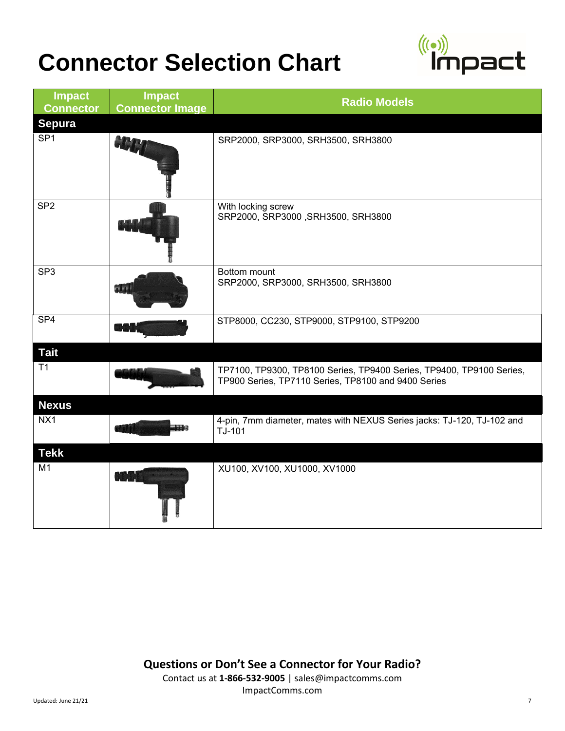

| <b>Impact</b><br><b>Connector</b> | <b>Impact</b><br><b>Connector Image</b> | <b>Radio Models</b>                                                                                                         |
|-----------------------------------|-----------------------------------------|-----------------------------------------------------------------------------------------------------------------------------|
| <b>Sepura</b>                     |                                         |                                                                                                                             |
| SP <sub>1</sub>                   |                                         | SRP2000, SRP3000, SRH3500, SRH3800                                                                                          |
| SP <sub>2</sub>                   |                                         | With locking screw<br>SRP2000, SRP3000, SRH3500, SRH3800                                                                    |
| SP <sub>3</sub>                   |                                         | Bottom mount<br>SRP2000, SRP3000, SRH3500, SRH3800                                                                          |
| SP4                               |                                         | STP8000, CC230, STP9000, STP9100, STP9200                                                                                   |
| <b>Tait</b>                       |                                         |                                                                                                                             |
| T1                                |                                         | TP7100, TP9300, TP8100 Series, TP9400 Series, TP9400, TP9100 Series,<br>TP900 Series, TP7110 Series, TP8100 and 9400 Series |
| <b>Nexus</b>                      |                                         |                                                                                                                             |
| NX1                               |                                         | 4-pin, 7mm diameter, mates with NEXUS Series jacks: TJ-120, TJ-102 and<br>TJ-101                                            |
| <b>Tekk</b>                       |                                         |                                                                                                                             |
| M1                                |                                         | XU100, XV100, XU1000, XV1000                                                                                                |

**Questions or Don't See a Connector for Your Radio?**

Contact us at **1-866-532-9005** | sales@impactcomms.com ImpactComms.com Updated: June 21/21 7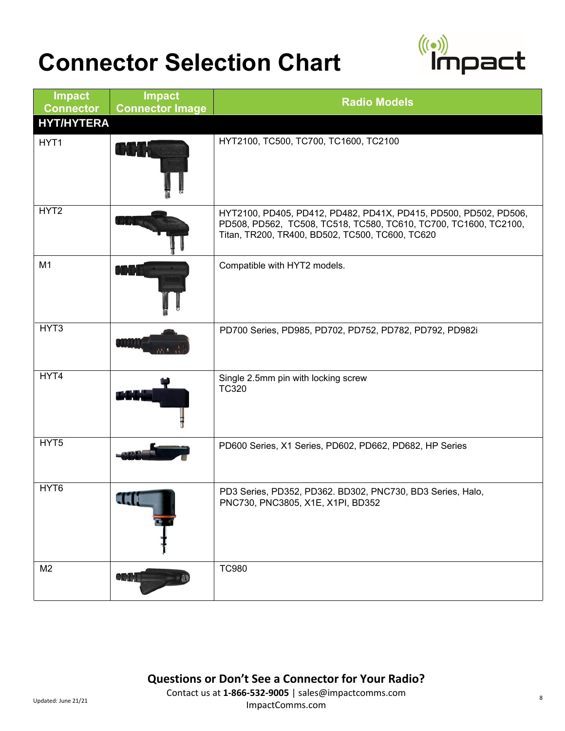

| <b>Impact</b><br><b>Connector</b> | <b>Impact</b><br><b>Connector Image</b> | <b>Radio Models</b>                                                                                                                                                                     |
|-----------------------------------|-----------------------------------------|-----------------------------------------------------------------------------------------------------------------------------------------------------------------------------------------|
| <b>HYT/HYTERA</b>                 |                                         |                                                                                                                                                                                         |
| HYT1                              |                                         | HYT2100, TC500, TC700, TC1600, TC2100                                                                                                                                                   |
| HYT2                              |                                         | HYT2100, PD405, PD412, PD482, PD41X, PD415, PD500, PD502, PD506,<br>PD508, PD562, TC508, TC518, TC580, TC610, TC700, TC1600, TC2100,<br>Titan, TR200, TR400, BD502, TC500, TC600, TC620 |
| M <sub>1</sub>                    |                                         | Compatible with HYT2 models.                                                                                                                                                            |
| HYT3                              |                                         | PD700 Series, PD985, PD702, PD752, PD782, PD792, PD982i                                                                                                                                 |
| HYT4                              |                                         | Single 2.5mm pin with locking screw<br><b>TC320</b>                                                                                                                                     |
| HYT <sub>5</sub>                  |                                         | PD600 Series, X1 Series, PD602, PD662, PD682, HP Series                                                                                                                                 |
| HYT <sub>6</sub>                  | <b><i><u>START COMPANY</u></i></b>      | PD3 Series, PD352, PD362. BD302, PNC730, BD3 Series, Halo,<br>PNC730, PNC3805, X1E, X1PI, BD352                                                                                         |
| M <sub>2</sub>                    |                                         | <b>TC980</b>                                                                                                                                                                            |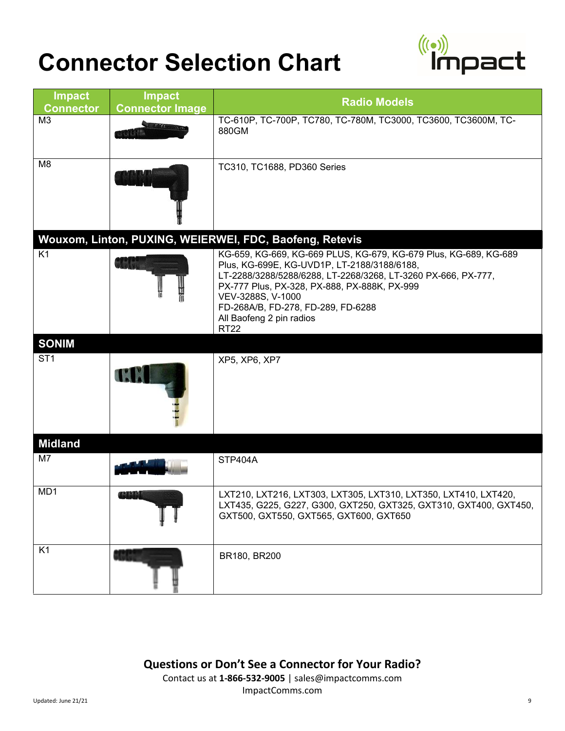

| <b>Impact</b><br><b>Connector</b> | <b>Impact</b><br><b>Connector Image</b> | <b>Radio Models</b>                                                                                                                                                                                                                                                                                                                                                                               |
|-----------------------------------|-----------------------------------------|---------------------------------------------------------------------------------------------------------------------------------------------------------------------------------------------------------------------------------------------------------------------------------------------------------------------------------------------------------------------------------------------------|
| M3                                |                                         | TC-610P, TC-700P, TC780, TC-780M, TC3000, TC3600, TC3600M, TC-<br>880GM                                                                                                                                                                                                                                                                                                                           |
| M <sub>8</sub>                    |                                         | TC310, TC1688, PD360 Series                                                                                                                                                                                                                                                                                                                                                                       |
| K1                                |                                         | Wouxom, Linton, PUXING, WEIERWEI, FDC, Baofeng, Retevis<br>KG-659, KG-669, KG-669 PLUS, KG-679, KG-679 Plus, KG-689, KG-689<br>Plus, KG-699E, KG-UVD1P, LT-2188/3188/6188,<br>LT-2288/3288/5288/6288, LT-2268/3268, LT-3260 PX-666, PX-777,<br>PX-777 Plus, PX-328, PX-888, PX-888K, PX-999<br>VEV-3288S, V-1000<br>FD-268A/B, FD-278, FD-289, FD-6288<br>All Baofeng 2 pin radios<br><b>RT22</b> |
| <b>SONIM</b>                      |                                         |                                                                                                                                                                                                                                                                                                                                                                                                   |
| ST <sub>1</sub>                   |                                         | XP5, XP6, XP7                                                                                                                                                                                                                                                                                                                                                                                     |
| <b>Midland</b>                    |                                         |                                                                                                                                                                                                                                                                                                                                                                                                   |
| M7                                |                                         | STP404A                                                                                                                                                                                                                                                                                                                                                                                           |
| MD1                               |                                         | LXT210, LXT216, LXT303, LXT305, LXT310, LXT350, LXT410, LXT420,<br>LXT435, G225, G227, G300, GXT250, GXT325, GXT310, GXT400, GXT450,<br>GXT500, GXT550, GXT565, GXT600, GXT650                                                                                                                                                                                                                    |
| K <sub>1</sub>                    |                                         | BR180, BR200                                                                                                                                                                                                                                                                                                                                                                                      |

**Questions or Don't See a Connector for Your Radio?**

Contact us at **1-866-532-9005** | sales@impactcomms.com ImpactComms.com